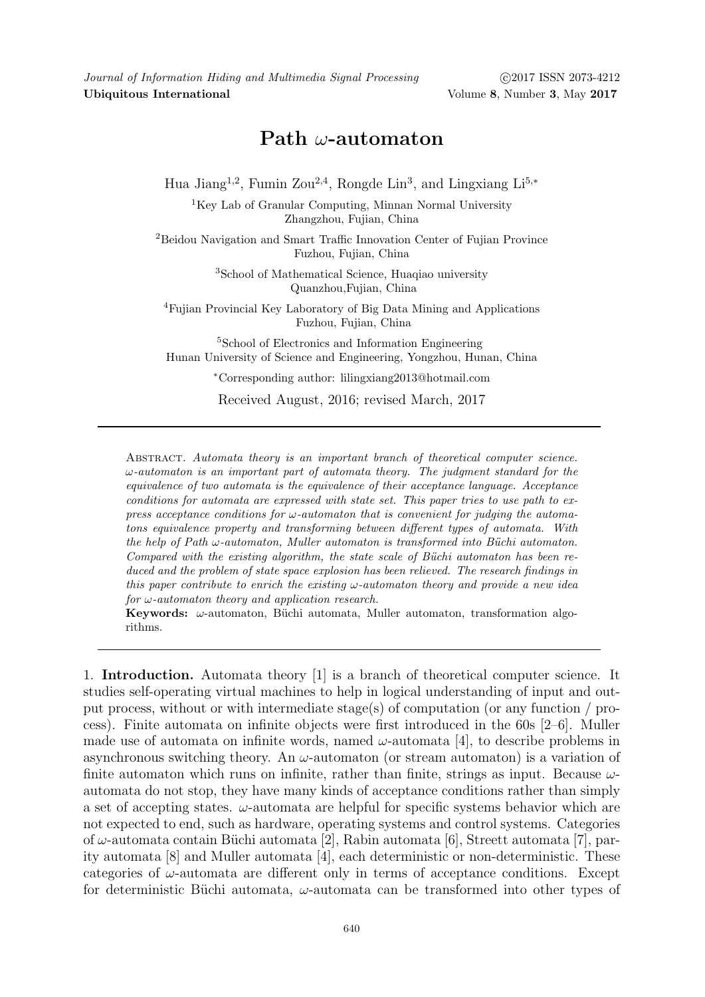Journal of Information Hiding and Multimedia Signal Processing (2017 ISSN 2073-4212 Ubiquitous International Volume 8, Number 3, May 2017

## Path  $\omega$ -automaton

Hua Jiang<sup>1,2</sup>, Fumin Zou<sup>2,4</sup>, Rongde Lin<sup>3</sup>, and Lingxiang Li<sup>5,\*</sup>

<sup>1</sup>Key Lab of Granular Computing, Minnan Normal University Zhangzhou, Fujian, China

<sup>2</sup>Beidou Navigation and Smart Traffic Innovation Center of Fujian Province Fuzhou, Fujian, China

> <sup>3</sup>School of Mathematical Science, Huaqiao university Quanzhou,Fujian, China

<sup>4</sup>Fujian Provincial Key Laboratory of Big Data Mining and Applications Fuzhou, Fujian, China

<sup>5</sup>School of Electronics and Information Engineering Hunan University of Science and Engineering, Yongzhou, Hunan, China

<sup>∗</sup>Corresponding author: lilingxiang2013@hotmail.com

Received August, 2016; revised March, 2017

ABSTRACT. Automata theory is an important branch of theoretical computer science.  $\omega$ -automaton is an important part of automata theory. The judgment standard for the equivalence of two automata is the equivalence of their acceptance language. Acceptance conditions for automata are expressed with state set. This paper tries to use path to express acceptance conditions for  $\omega$ -automaton that is convenient for judging the automatons equivalence property and transforming between different types of automata. With the help of Path  $\omega$ -automaton, Muller automaton is transformed into Büchi automaton. Compared with the existing algorithm, the state scale of Büchi automaton has been reduced and the problem of state space explosion has been relieved. The research findings in this paper contribute to enrich the existing  $\omega$ -automaton theory and provide a new idea for  $\omega$ -automaton theory and application research.

Keywords:  $\omega$ -automaton, Büchi automata, Muller automaton, transformation algorithms.

1. Introduction. Automata theory [1] is a branch of theoretical computer science. It studies self-operating virtual machines to help in logical understanding of input and output process, without or with intermediate stage(s) of computation (or any function / process). Finite automata on infinite objects were first introduced in the 60s [2–6]. Muller made use of automata on infinite words, named  $\omega$ -automata [4], to describe problems in asynchronous switching theory. An  $\omega$ -automaton (or stream automaton) is a variation of finite automaton which runs on infinite, rather than finite, strings as input. Because  $\omega$ automata do not stop, they have many kinds of acceptance conditions rather than simply a set of accepting states.  $\omega$ -automata are helpful for specific systems behavior which are not expected to end, such as hardware, operating systems and control systems. Categories of  $\omega$ -automata contain Büchi automata [2], Rabin automata [6], Streett automata [7], parity automata [8] and Muller automata [4], each deterministic or non-deterministic. These categories of  $\omega$ -automata are different only in terms of acceptance conditions. Except for deterministic Büchi automata,  $\omega$ -automata can be transformed into other types of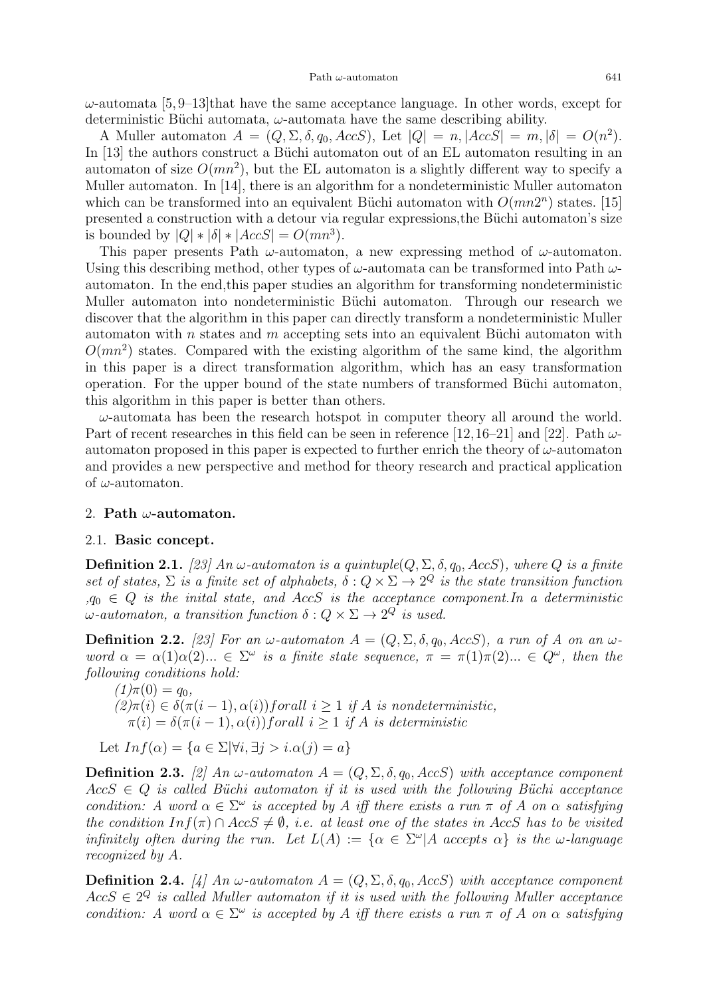$\omega$ -automata [5,9–13]that have the same acceptance language. In other words, except for deterministic Büchi automata,  $\omega$ -automata have the same describing ability.

A Muller automaton  $A = (Q, \Sigma, \delta, q_0, AccS)$ , Let  $|Q| = n$ ,  $|AccS| = m$ ,  $|\delta| = O(n^2)$ . In [13] the authors construct a Büchi automaton out of an EL automaton resulting in an automaton of size  $O(mn^2)$ , but the EL automaton is a slightly different way to specify a Muller automaton. In [14], there is an algorithm for a nondeterministic Muller automaton which can be transformed into an equivalent Büchi automaton with  $O(mn2^n)$  states. [15] presented a construction with a detour via regular expressions, the Büchi automaton's size is bounded by  $|Q| * |\delta| * |AccS| = O(mn^3)$ .

This paper presents Path  $\omega$ -automaton, a new expressing method of  $\omega$ -automaton. Using this describing method, other types of  $\omega$ -automata can be transformed into Path  $\omega$ automaton. In the end,this paper studies an algorithm for transforming nondeterministic Muller automaton into nondeterministic Büchi automaton. Through our research we discover that the algorithm in this paper can directly transform a nondeterministic Muller automaton with n states and m accepting sets into an equivalent Büchi automaton with  $O(mn^2)$  states. Compared with the existing algorithm of the same kind, the algorithm in this paper is a direct transformation algorithm, which has an easy transformation operation. For the upper bound of the state numbers of transformed Büchi automaton, this algorithm in this paper is better than others.

 $\omega$ -automata has been the research hotspot in computer theory all around the world. Part of recent researches in this field can be seen in reference [12,16–21] and [22]. Path  $\omega$ automaton proposed in this paper is expected to further enrich the theory of  $\omega$ -automaton and provides a new perspective and method for theory research and practical application of  $\omega$ -automaton.

## 2. Path  $\omega$ -automaton.

## 2.1. Basic concept.

**Definition 2.1.** [23] An  $\omega$ -automaton is a quintuple( $Q$ ,  $\Sigma$ ,  $\delta$ ,  $q_0$ , AccS), where  $Q$  is a finite set of states,  $\Sigma$  is a finite set of alphabets,  $\delta: Q \times \Sigma \to 2^Q$  is the state transition function  $, q_0 \in Q$  is the initial state, and AccS is the acceptance component. In a deterministic  $\omega$ -automaton, a transition function  $\delta: Q \times \Sigma \to 2^Q$  is used.

**Definition 2.2.** [23] For an  $\omega$ -automaton  $A = (Q, \Sigma, \delta, q_0, AccS)$ , a run of A on an  $\omega$ word  $\alpha = \alpha(1)\alpha(2)...\in \Sigma^{\omega}$  is a finite state sequence,  $\pi = \pi(1)\pi(2)... \in Q^{\omega}$ , then the following conditions hold:

 $(1)\pi(0) = q_0,$  $(2)\pi(i) \in \delta(\pi(i-1), \alpha(i))$  forall  $i > 1$  if A is nondeterministic,  $\pi(i) = \delta(\pi(i-1), \alpha(i))$  forall  $i > 1$  if A is deterministic

Let  $Inf(\alpha) = \{a \in \Sigma | \forall i, \exists j > i \ldots \alpha(j) = a\}$ 

**Definition 2.3.** [2] An  $\omega$ -automaton  $A = (Q, \Sigma, \delta, q_0, AccS)$  with acceptance component  $AccS \in Q$  is called Büchi automaton if it is used with the following Büchi acceptance condition: A word  $\alpha \in \Sigma^{\omega}$  is accepted by A iff there exists a run  $\pi$  of A on  $\alpha$  satisfying the condition  $Inf(\pi) \cap AccS \neq \emptyset$ , i.e. at least one of the states in AccS has to be visited infinitely often during the run. Let  $L(A) := \{ \alpha \in \Sigma^{\omega} | A \text{ accepts } \alpha \}$  is the  $\omega$ -language recognized by A.

**Definition 2.4.** [4] An  $\omega$ -automaton  $A = (Q, \Sigma, \delta, q_0, AccS)$  with acceptance component  $AccS \in 2^Q$  is called Muller automaton if it is used with the following Muller acceptance condition: A word  $\alpha \in \Sigma^{\omega}$  is accepted by A iff there exists a run  $\pi$  of A on  $\alpha$  satisfying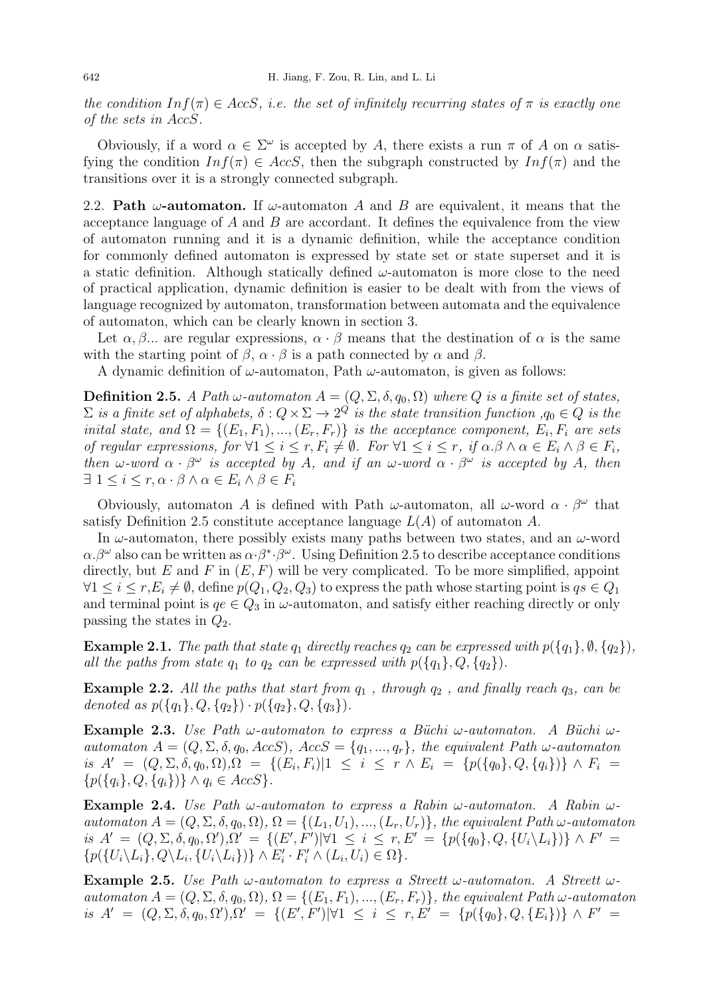the condition  $Inf(\pi) \in AccS$ , i.e. the set of infinitely recurring states of  $\pi$  is exactly one of the sets in AccS.

Obviously, if a word  $\alpha \in \Sigma^{\omega}$  is accepted by A, there exists a run  $\pi$  of A on  $\alpha$  satisfying the condition  $Inf(\pi) \in AccS$ , then the subgraph constructed by  $Inf(\pi)$  and the transitions over it is a strongly connected subgraph.

2.2. Path  $\omega$ -automaton. If  $\omega$ -automaton A and B are equivalent, it means that the acceptance language of  $A$  and  $B$  are accordant. It defines the equivalence from the view of automaton running and it is a dynamic definition, while the acceptance condition for commonly defined automaton is expressed by state set or state superset and it is a static definition. Although statically defined  $\omega$ -automaton is more close to the need of practical application, dynamic definition is easier to be dealt with from the views of language recognized by automaton, transformation between automata and the equivalence of automaton, which can be clearly known in section 3.

Let  $\alpha, \beta, \ldots$  are regular expressions,  $\alpha \cdot \beta$  means that the destination of  $\alpha$  is the same with the starting point of  $\beta$ ,  $\alpha \cdot \beta$  is a path connected by  $\alpha$  and  $\beta$ .

A dynamic definition of  $\omega$ -automaton, Path  $\omega$ -automaton, is given as follows:

**Definition 2.5.** A Path  $\omega$ -automaton  $A = (Q, \Sigma, \delta, q_0, \Omega)$  where Q is a finite set of states,  $\Sigma$  is a finite set of alphabets,  $\delta: Q \times \Sigma \to 2^Q$  is the state transition function  $,q_0 \in Q$  is the inital state, and  $\Omega = \{(E_1, F_1), ..., (E_r, F_r)\}\$ is the acceptance component,  $E_i, F_i$  are sets of regular expressions, for  $\forall 1 \leq i \leq r, F_i \neq \emptyset$ . For  $\forall 1 \leq i \leq r$ , if  $\alpha \beta \wedge \alpha \in E_i \wedge \beta \in F_i$ , then  $\omega$ -word  $\alpha \cdot \beta^{\omega}$  is accepted by A, and if an  $\omega$ -word  $\alpha \cdot \beta^{\omega}$  is accepted by A, then  $\exists 1 \leq i \leq r, \alpha \cdot \beta \wedge \alpha \in E_i \wedge \beta \in F_i$ 

Obviously, automaton A is defined with Path  $\omega$ -automaton, all  $\omega$ -word  $\alpha \cdot \beta^{\omega}$  that satisfy Definition 2.5 constitute acceptance language  $L(A)$  of automaton A.

In  $\omega$ -automaton, there possibly exists many paths between two states, and an  $\omega$ -word  $\alpha.\beta^{\omega}$  also can be written as  $\alpha \cdot \beta^* \cdot \beta^{\omega}$ . Using Definition 2.5 to describe acceptance conditions directly, but  $E$  and  $F$  in  $(E, F)$  will be very complicated. To be more simplified, appoint  $\forall 1 \leq i \leq r, E_i \neq \emptyset$ , define  $p(Q_1, Q_2, Q_3)$  to express the path whose starting point is  $qs \in Q_1$ and terminal point is  $qe \in Q_3$  in  $\omega$ -automaton, and satisfy either reaching directly or only passing the states in  $Q_2$ .

**Example 2.1.** The path that state  $q_1$  directly reaches  $q_2$  can be expressed with  $p({q_1}, \emptyset, {q_2})$ , all the paths from state  $q_1$  to  $q_2$  can be expressed with  $p({q_1}, Q, {q_2})$ .

**Example 2.2.** All the paths that start from  $q_1$ , through  $q_2$ , and finally reach  $q_3$ , can be denoted as  $p({q_1}, Q, {q_2}) \cdot p({q_2}, Q, {q_3}).$ 

Example 2.3. Use Path  $\omega$ -automaton to express a Büchi  $\omega$ -automaton. A Büchi  $\omega$ automaton  $A = (Q, \Sigma, \delta, q_0, AccS), AccS = \{q_1, ..., q_r\}$ , the equivalent Path  $\omega$ -automaton is  $A' = (Q, \Sigma, \delta, q_0, \Omega), \Omega = \{ (E_i, F_i) | 1 \leq i \leq r \wedge E_i = \{ p(\{q_0\}, Q, \{q_i\}) \} \wedge F_i =$  $\{p(\{q_i\}, Q, \{q_i\})\}\wedge q_i \in AccS\}.$ 

**Example 2.4.** Use Path  $\omega$ -automaton to express a Rabin  $\omega$ -automaton. A Rabin  $\omega$ automaton  $A = (Q, \Sigma, \delta, q_0, \Omega), \Omega = \{(L_1, U_1), ..., (L_r, U_r)\},\$  the equivalent Path  $\omega$ -automaton is  $A' = (Q, \Sigma, \delta, q_0, \Omega'), \Omega' = \{(E', F') | \forall 1 \leq i \leq r, E' = \{p(\{q_0\}, Q, \{U_i \setminus L_i\})\} \wedge F' =$  $\{p({U_i \setminus L_i}, Q \setminus L_i, {U_i \setminus L_i})\} \wedge E'_i \cdot F'_i \wedge (L_i, U_i) \in \Omega\}.$ 

**Example 2.5.** Use Path  $\omega$ -automaton to express a Streett  $\omega$ -automaton. A Streett  $\omega$ automaton  $A = (Q, \Sigma, \delta, q_0, \Omega), \Omega = \{(E_1, F_1), ..., (E_r, F_r)\},$  the equivalent Path  $\omega$ -automaton is  $A' = (Q, \Sigma, \delta, q_0, \Omega'), \Omega' = \{ (E', F') | \forall 1 \leq i \leq r, E' = \{ p(\{q_0\}, Q, \{E_i\}) \} \wedge F' =$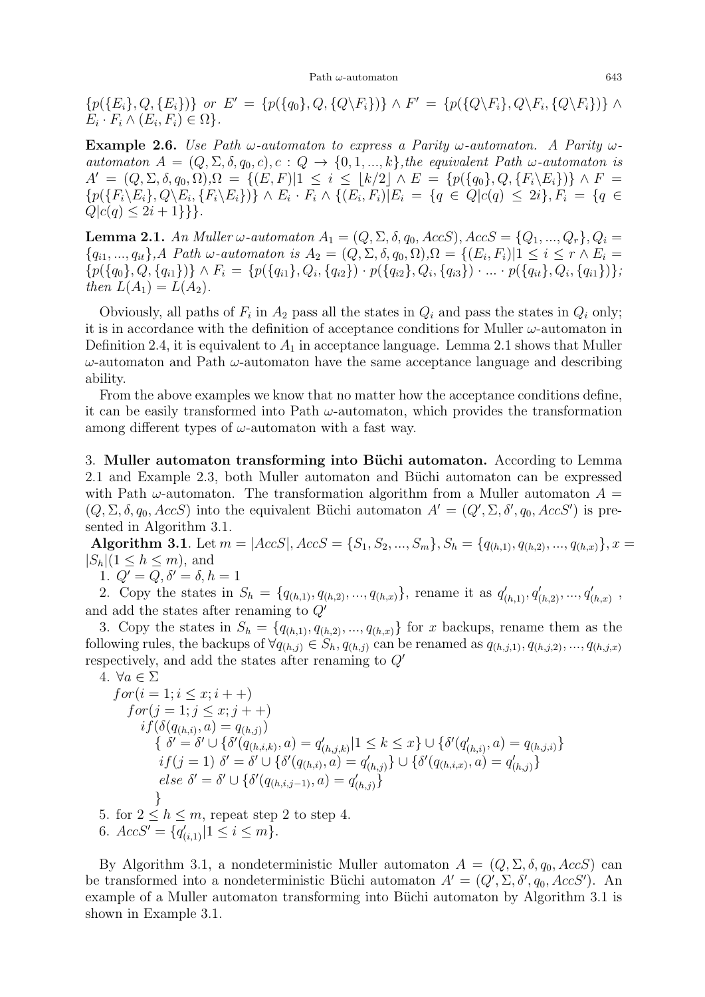${p({E_i}, Q, {E_i})}$  or  $E' = {p({q_0}, Q, {Q\F_i})} \wedge F' = {p({Q\F_i}, Q\F_i, {Q\F_i})} \wedge$  $E_i \cdot F_i \wedge (E_i, F_i) \in \Omega$ .

**Example 2.6.** Use Path  $\omega$ -automaton to express a Parity  $\omega$ -automaton. A Parity  $\omega$ automaton  $A = (Q, \Sigma, \delta, q_0, c), c : Q \to \{0, 1, ..., k\}$ , the equivalent Path  $\omega$ -automaton is  $A' = (Q, \Sigma, \delta, q_0, \Omega), \Omega = \{(E, F)|1 \leq i \leq \lfloor k/2 \rfloor \wedge E = \{p(\{q_0\}, Q, \{F_i \setminus E_i\})\} \wedge F =$  $\{p(\{F_i \setminus E_i\}, Q \setminus E_i, \{F_i \setminus E_i\})\} \wedge E_i \cdot F_i \wedge \{(E_i, F_i) | E_i = \{q \in Q | c(q) \leq 2i\}, F_i = \{q \in Q\}$  $Q|c(q) \leq 2i + 1\}$ .

**Lemma 2.1.** An Muller  $\omega$ -automaton  $A_1 = (Q, \Sigma, \delta, q_0, AccS), AccS = \{Q_1, ..., Q_r\}, Q_i =$  ${q_{i1},..., q_{it}}$ , A Path  $\omega$ -automaton is  $A_2 = (Q, \Sigma, \delta, q_0, \Omega), \Omega = \{(E_i, F_i) | 1 \leq i \leq r \wedge E_i =$  $\{p(\{q_0\}, Q, \{q_{i1}\})\}\wedge F_i = \{p(\{q_{i1}\}, Q_i, \{q_{i2}\})\cdot p(\{q_{i2}\}, Q_i, \{q_{i3}\})\cdot \ldots \cdot p(\{q_{it}\}, Q_i, \{q_{i1}\})\},$ then  $L(A_1) = L(A_2)$ .

Obviously, all paths of  $F_i$  in  $A_2$  pass all the states in  $Q_i$  and pass the states in  $Q_i$  only; it is in accordance with the definition of acceptance conditions for Muller  $\omega$ -automaton in Definition 2.4, it is equivalent to  $A_1$  in acceptance language. Lemma 2.1 shows that Muller  $\omega$ -automaton and Path  $\omega$ -automaton have the same acceptance language and describing ability.

From the above examples we know that no matter how the acceptance conditions define, it can be easily transformed into Path  $\omega$ -automaton, which provides the transformation among different types of  $\omega$ -automaton with a fast way.

3. Muller automaton transforming into Büchi automaton. According to Lemma 2.1 and Example 2.3, both Muller automaton and Büchi automaton can be expressed with Path  $\omega$ -automaton. The transformation algorithm from a Muller automaton  $A =$  $(Q, \Sigma, \delta, q_0, AccS)$  into the equivalent Büchi automaton  $A' = (Q', \Sigma, \delta', q_0, AccS')$  is presented in Algorithm 3.1.

Algorithm 3.1. Let  $m = |AccS|, AccS = \{S_1, S_2, ..., S_m\}, S_h = \{q_{(h,1)}, q_{(h,2)}, ..., q_{(h,x)}\}, x =$  $|S_h|(1 \leq h \leq m)$ , and

1.  $Q' = Q, \delta' = \delta, h = 1$ 

2. Copy the states in  $S_h = \{q_{(h,1)}, q_{(h,2)}, ..., q_{(h,x)}\}$ , rename it as  $q'_{(h,1)}, q'_{(h,2)}, ..., q'_{(h,x)}$ , and add the states after renaming to  $Q'$ 

3. Copy the states in  $S_h = \{q_{(h,1)}, q_{(h,2)}, ..., q_{(h,x)}\}$  for x backups, rename them as the following rules, the backups of  $\forall q_{(h,j)} \in S_h, q_{(h,j)}$  can be renamed as  $q_{(h,j,1)}, q_{(h,j,2)}, \ldots, q_{(h,j,x)}$ respectively, and add the states after renaming to  $Q'$ 

4. 
$$
\forall a \in \Sigma
$$
  
\n $\text{for}(i = 1; i \leq x; i++)$   
\n $\text{for}(j = 1; j \leq x; j++)$   
\n $\text{if}(\delta(q_{(h,i)}, a) = q_{(h,j)})$   
\n $\{\delta' = \delta' \cup \{\delta'(q_{(h,i,k)}, a) = q'_{(h,j,k)}|1 \leq k \leq x\} \cup \{\delta'(q'_{(h,i)}, a) = q_{(h,j,i)}\}$   
\n $\text{if}(j = 1) \delta' = \delta' \cup \{\delta'(q_{(h,i)}, a) = q'_{(h,j)}\} \cup \{\delta'(q_{(h,i,x)}, a) = q'_{(h,j)}\}$   
\n $\text{else } \delta' = \delta' \cup \{\delta'(q_{(h,i,j-1)}, a) = q'_{(h,j)}\}$   
\n $\}$   
\n5. for  $2 \leq h \leq m$ , repeat step 2 to step 4.  
\n6.  $\text{AccS'} = \{q'_{(i,1)}|1 \leq i \leq m\}$ .

By Algorithm 3.1, a nondeterministic Muller automaton  $A = (Q, \Sigma, \delta, q_0, AccS)$  can be transformed into a nondeterministic Büchi automaton  $A' = (Q', \Sigma, \delta', q_0, AccS')$ . An example of a Muller automaton transforming into Büchi automaton by Algorithm 3.1 is shown in Example 3.1.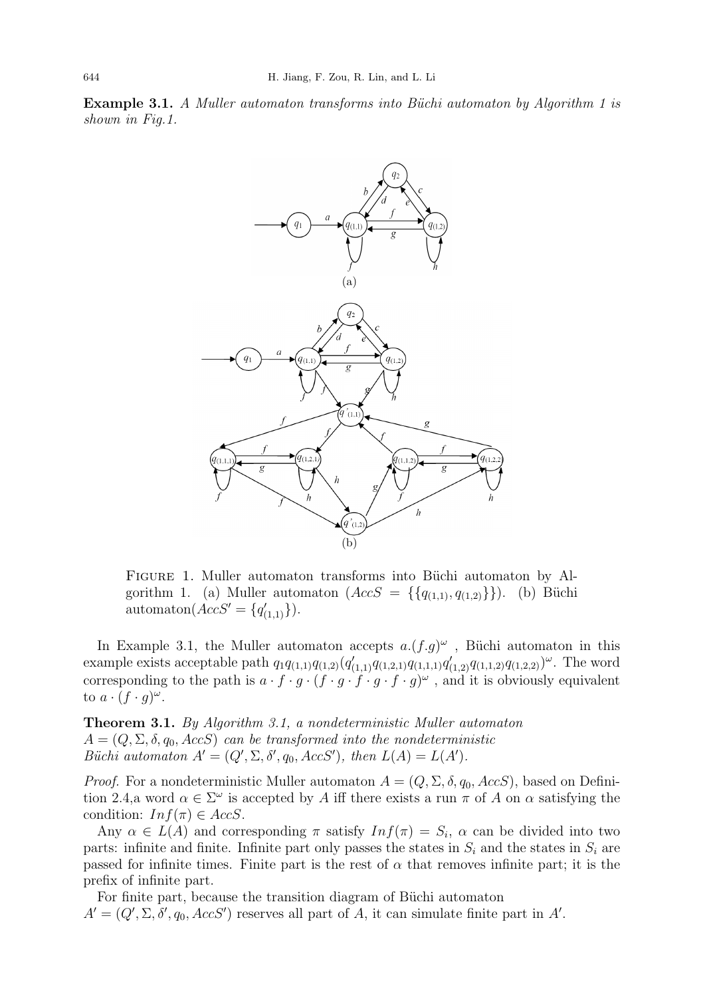**Example 3.1.** A Muller automaton transforms into Büchi automaton by Algorithm 1 is shown in Fig.1.



FIGURE 1. Muller automaton transforms into Büchi automaton by Algorithm 1. (a) Muller automaton  $(AccS = \{\{q_{(1,1)}, q_{(1,2)}\}\})$ . (b) Büchi automaton $(AccS' = \{q'_{(1,1)}\}).$ 

In Example 3.1, the Muller automaton accepts  $a.(f.g)^{\omega}$ , Büchi automaton in this example exists acceptable path  $q_1q_{(1,1)}q_{(1,2)}(q'_{(1,1)}q_{(1,2,1)}q_{(1,1,1)}q'_{(1,2)}q_{(1,1,2)}q_{(1,2,2)})^{\omega}$ . The word corresponding to the path is  $a \cdot f \cdot g \cdot (f \cdot g \cdot f \cdot g \cdot f \cdot g)^{\omega}$ , and it is obviously equivalent to  $a \cdot (f \cdot g)^{\omega}$ .

Theorem 3.1. By Algorithm 3.1, a nondeterministic Muller automaton  $A = (Q, \Sigma, \delta, q_0, AccS)$  can be transformed into the nondeterministic Büchi automaton  $A' = (Q', \Sigma, \delta', q_0, AccS')$ , then  $L(A) = L(A')$ .

*Proof.* For a nondeterministic Muller automaton  $A = (Q, \Sigma, \delta, q_0, AccS)$ , based on Definition 2.4,a word  $\alpha \in \Sigma^{\omega}$  is accepted by A iff there exists a run  $\pi$  of A on  $\alpha$  satisfying the condition:  $Inf(\pi) \in AccS$ .

Any  $\alpha \in L(A)$  and corresponding  $\pi$  satisfy  $Inf(\pi) = S_i$ ,  $\alpha$  can be divided into two parts: infinite and finite. Infinite part only passes the states in  $S_i$  and the states in  $S_i$  are passed for infinite times. Finite part is the rest of  $\alpha$  that removes infinite part; it is the prefix of infinite part.

For finite part, because the transition diagram of Büchi automaton  $A' = (Q', \Sigma, \delta', q_0, AccS')$  reserves all part of A, it can simulate finite part in A'.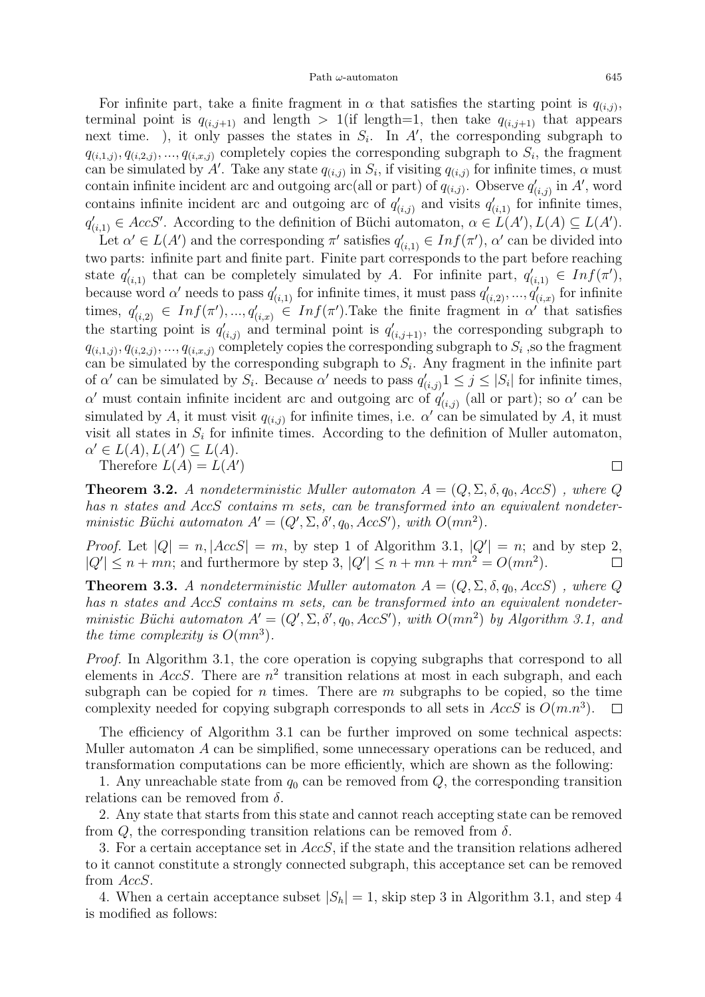For infinite part, take a finite fragment in  $\alpha$  that satisfies the starting point is  $q_{(i,j)}$ , terminal point is  $q_{(i,j+1)}$  and length  $> 1$  (if length=1, then take  $q_{(i,j+1)}$  that appears next time. ), it only passes the states in  $S_i$ . In A', the corresponding subgraph to  $q_{(i,1,j)}, q_{(i,2,j)}, ..., q_{(i,x,j)}$  completely copies the corresponding subgraph to  $S_i$ , the fragment can be simulated by A'. Take any state  $q_{(i,j)}$  in  $S_i$ , if visiting  $q_{(i,j)}$  for infinite times,  $\alpha$  must contain infinite incident arc and outgoing arc(all or part) of  $q_{(i,j)}$ . Observe  $q'_{(i,j)}$  in A', word contains infinite incident arc and outgoing arc of  $q'_{(i,j)}$  and visits  $q'_{(i,1)}$  for infinite times,  $q'_{(i,1)} \in AccS'$ . According to the definition of Büchi automaton,  $\alpha \in L(A')$ ,  $L(A) \subseteq L(A')$ .

Let  $\alpha' \in L(A')$  and the corresponding  $\pi'$  satisfies  $q'_{(i,1)} \in Inf(\pi')$ ,  $\alpha'$  can be divided into two parts: infinite part and finite part. Finite part corresponds to the part before reaching state  $q'_{(i,1)}$  that can be completely simulated by A. For infinite part,  $q'_{(i,1)} \in Inf(\pi')$ , because word  $\alpha'$  needs to pass  $q'_{(i,1)}$  for infinite times, it must pass  $q'_{(i,2)},...,q'_{(i,x)}$  for infinite times,  $q'_{(i,2)} \in Inf(\pi'), ..., q'_{(i,x)} \in Inf(\pi').$  Take the finite fragment in  $\alpha'$  that satisfies the starting point is  $q'_{(i,j)}$  and terminal point is  $q'_{(i,j+1)}$ , the corresponding subgraph to  $q_{(i,1,j)}, q_{(i,2,j)}, ..., q_{(i,x,j)}$  completely copies the corresponding subgraph to  $S_i$ , so the fragment can be simulated by the corresponding subgraph to  $S_i$ . Any fragment in the infinite part of  $\alpha'$  can be simulated by  $S_i$ . Because  $\alpha'$  needs to pass  $q'_{(i,j)} \mathbb{1} \leq j \leq |S_i|$  for infinite times, α' must contain infinite incident arc and outgoing arc of  $q'_{(i,j)}$  (all or part); so α' can be simulated by A, it must visit  $q_{(i,j)}$  for infinite times, i.e.  $\alpha'$  can be simulated by A, it must visit all states in  $S_i$  for infinite times. According to the definition of Muller automaton,  $\alpha' \in L(A), L(A') \subseteq L(A).$ 

Therefore  $L(A) = L(A')$ 

 $\Box$ 

**Theorem 3.2.** A nondeterministic Muller automaton  $A = (Q, \Sigma, \delta, q_0, AccS)$ , where Q has n states and AccS contains m sets, can be transformed into an equivalent nondeterministic Büchi automaton  $A' = (Q', \Sigma, \delta', q_0, AccS')$ , with  $O(mn^2)$ .

*Proof.* Let  $|Q| = n$ ,  $|AccS| = m$ , by step 1 of Algorithm 3.1,  $|Q'| = n$ ; and by step 2,  $|Q'| \leq n + mn$ ; and furthermore by step 3,  $|Q'| \leq n + mn + mn^2 = O(mn^2)$ .  $\Box$ 

**Theorem 3.3.** A nondeterministic Muller automaton  $A = (Q, \Sigma, \delta, q_0, AccS)$ , where Q has n states and AccS contains m sets, can be transformed into an equivalent nondeterministic Büchi automaton  $A' = (Q', \Sigma, \delta', q_0, AccS')$ , with  $O(mn^2)$  by Algorithm 3.1, and the time complexity is  $O(mn^3)$ .

Proof. In Algorithm 3.1, the core operation is copying subgraphs that correspond to all elements in  $AccS$ . There are  $n^2$  transition relations at most in each subgraph, and each subgraph can be copied for *n* times. There are *m* subgraphs to be copied, so the time complexity needed for copying subgraph corresponds to all sets in  $AccS$  is  $O(m.n^3)$ .  $\Box$ 

The efficiency of Algorithm 3.1 can be further improved on some technical aspects: Muller automaton A can be simplified, some unnecessary operations can be reduced, and transformation computations can be more efficiently, which are shown as the following:

1. Any unreachable state from  $q_0$  can be removed from  $Q$ , the corresponding transition relations can be removed from  $\delta$ .

2. Any state that starts from this state and cannot reach accepting state can be removed from  $Q$ , the corresponding transition relations can be removed from  $\delta$ .

3. For a certain acceptance set in AccS, if the state and the transition relations adhered to it cannot constitute a strongly connected subgraph, this acceptance set can be removed from AccS.

4. When a certain acceptance subset  $|S_h| = 1$ , skip step 3 in Algorithm 3.1, and step 4 is modified as follows: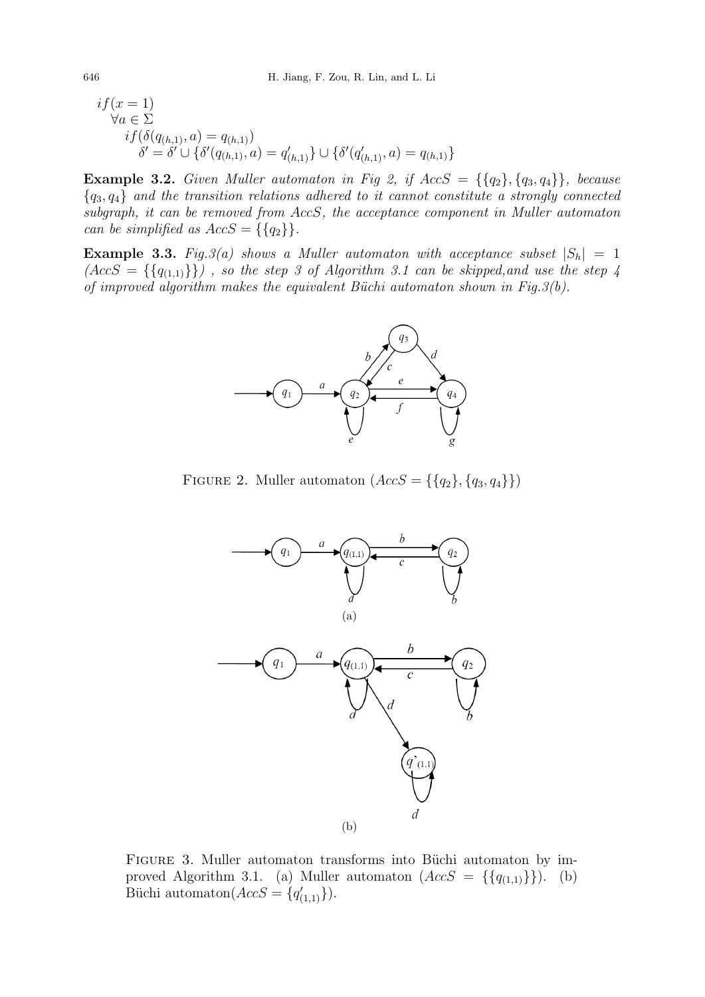$$
if(x = 1)\forall a \in \Sigma\nif(\delta(q_{(h,1)}, a) = q_{(h,1)})\n\delta' = \delta' \cup \{\delta'(q_{(h,1)}, a) = q_{(h,1)}'\} \cup \{\delta'(q_{(h,1)}, a) = q_{(h,1)}\}\
$$

Example 3.2. Given Muller automaton in Fig 2, if  $AccS = \{\{q_2\}, \{q_3, q_4\}\}\$ , because  ${q_3, q_4}$  and the transition relations adhered to it cannot constitute a strongly connected subgraph, it can be removed from AccS, the acceptance component in Muller automaton can be simplified as  $AccS = \{\{q_2\}\}.$ 

**Example 3.3.** Fig.3(a) shows a Muller automaton with acceptance subset  $|S_h| = 1$  $(AccS = \{\{q_{(1,1)}\}\})$ , so the step 3 of Algorithm 3.1 can be skipped, and use the step 4 of improved algorithm makes the equivalent Büchi automaton shown in Fig.  $3(b)$ .



FIGURE 2. Muller automaton  $(AccS = \{\{q_2\}, \{q_3, q_4\}\})$ 



FIGURE 3. Muller automaton transforms into Büchi automaton by improved Algorithm 3.1. (a) Muller automaton  $(AccS = \{\{q_{(1,1)}\}\})$ . (b) Büchi automaton $(AccS = \{q'_{(1,1)}\}).$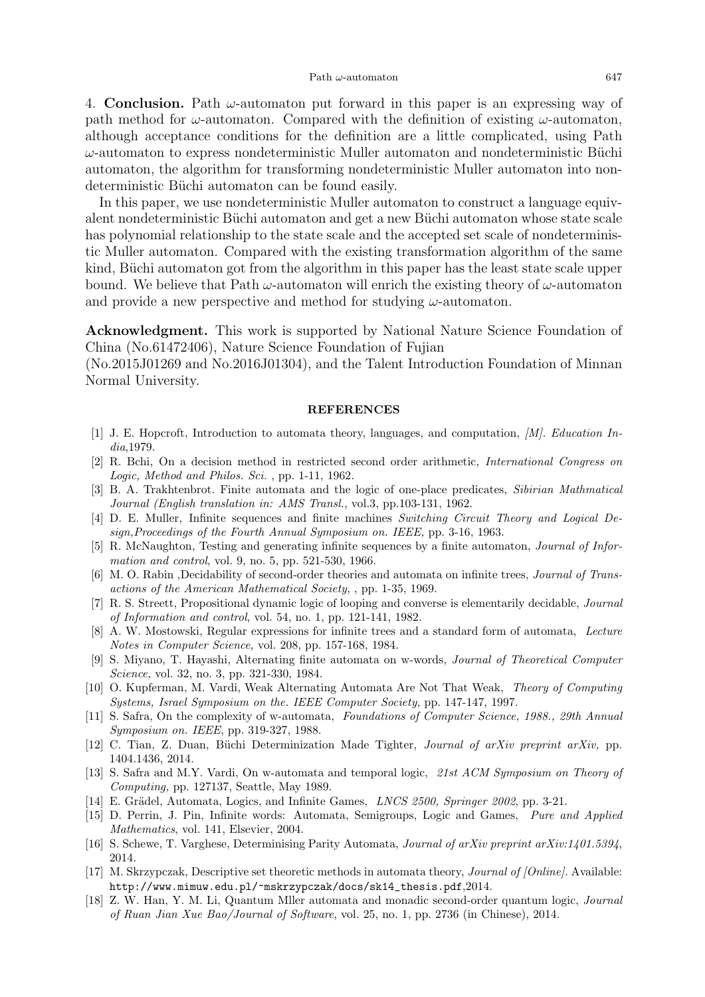4. **Conclusion.** Path  $\omega$ -automaton put forward in this paper is an expressing way of path method for  $\omega$ -automaton. Compared with the definition of existing  $\omega$ -automaton, although acceptance conditions for the definition are a little complicated, using Path  $\omega$ -automaton to express nondeterministic Muller automaton and nondeterministic Büchi automaton, the algorithm for transforming nondeterministic Muller automaton into nondeterministic Büchi automaton can be found easily.

In this paper, we use nondeterministic Muller automaton to construct a language equivalent nondeterministic Büchi automaton and get a new Büchi automaton whose state scale has polynomial relationship to the state scale and the accepted set scale of nondeterministic Muller automaton. Compared with the existing transformation algorithm of the same kind, Büchi automaton got from the algorithm in this paper has the least state scale upper bound. We believe that Path  $\omega$ -automaton will enrich the existing theory of  $\omega$ -automaton and provide a new perspective and method for studying  $\omega$ -automaton.

Acknowledgment. This work is supported by National Nature Science Foundation of China (No.61472406), Nature Science Foundation of Fujian

(No.2015J01269 and No.2016J01304), and the Talent Introduction Foundation of Minnan Normal University.

## REFERENCES

- [1] J. E. Hopcroft, Introduction to automata theory, languages, and computation, [M]. Education India,1979.
- [2] R. Bchi, On a decision method in restricted second order arithmetic, International Congress on Logic, Method and Philos. Sci. , pp. 1-11, 1962.
- [3] B. A. Trakhtenbrot. Finite automata and the logic of one-place predicates, Sibirian Mathmatical Journal (English translation in: AMS Transl., vol.3, pp.103-131, 1962.
- [4] D. E. Muller, Infinite sequences and finite machines Switching Circuit Theory and Logical Design,Proceedings of the Fourth Annual Symposium on. IEEE, pp. 3-16, 1963.
- [5] R. McNaughton, Testing and generating infinite sequences by a finite automaton, Journal of Information and control, vol. 9, no. 5, pp. 521-530, 1966.
- [6] M. O. Rabin ,Decidability of second-order theories and automata on infinite trees, Journal of Transactions of the American Mathematical Society, , pp. 1-35, 1969.
- [7] R. S. Streett, Propositional dynamic logic of looping and converse is elementarily decidable, Journal of Information and control, vol. 54, no. 1, pp. 121-141, 1982.
- [8] A. W. Mostowski, Regular expressions for infinite trees and a standard form of automata, Lecture Notes in Computer Science, vol. 208, pp. 157-168, 1984.
- [9] S. Miyano, T. Hayashi, Alternating finite automata on w-words, Journal of Theoretical Computer Science, vol. 32, no. 3, pp. 321-330, 1984.
- [10] O. Kupferman, M. Vardi, Weak Alternating Automata Are Not That Weak, Theory of Computing Systems, Israel Symposium on the. IEEE Computer Society, pp. 147-147, 1997.
- [11] S. Safra, On the complexity of w-automata, Foundations of Computer Science, 1988., 29th Annual Symposium on. IEEE, pp. 319-327, 1988.
- [12] C. Tian, Z. Duan, Büchi Determinization Made Tighter, Journal of arXiv preprint arXiv, pp. 1404.1436, 2014.
- [13] S. Safra and M.Y. Vardi, On w-automata and temporal logic, 21st ACM Symposium on Theory of Computing, pp. 127137, Seattle, May 1989.
- [14] E. Grädel, Automata, Logics, and Infinite Games, *LNCS 2500, Springer 2002*, pp. 3-21.
- [15] D. Perrin, J. Pin, Infinite words: Automata, Semigroups, Logic and Games, Pure and Applied Mathematics, vol. 141, Elsevier, 2004.
- [16] S. Schewe, T. Varghese, Determinising Parity Automata, Journal of arXiv preprint arXiv:1401.5394, 2014.
- [17] M. Skrzypczak, Descriptive set theoretic methods in automata theory, Journal of [Online]. Available: http://www.mimuw.edu.pl/~mskrzypczak/docs/sk14\_thesis.pdf,2014.
- [18] Z. W. Han, Y. M. Li, Quantum Mller automata and monadic second-order quantum logic, Journal of Ruan Jian Xue Bao/Journal of Software, vol. 25, no. 1, pp. 2736 (in Chinese), 2014.